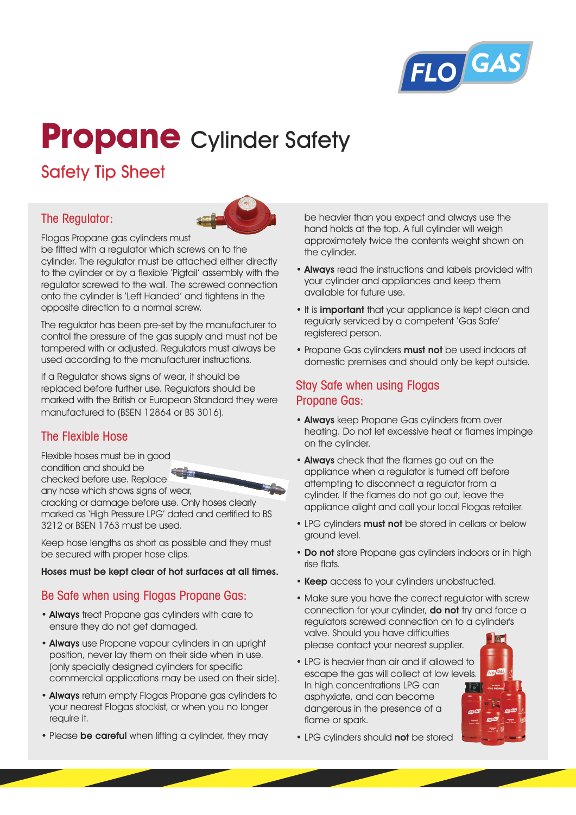

# **Propane** Cylinder Safety

# Safety Tip Sheet

## The Regulator:



Flogas Propane gas cylinders must

be fitted with a regulator which screws on to the cylinder. The regulator must be attached either directly to the cylinder or by a flexible 'Pigtail' assembly with the regulator screwed to the wall. The screwed connection onto the cylinder is 'Left Handed' and tightens in the opposite direction to a normal screw.

The regulator has been pre-set by the manufacturer to control the pressure of the gas supply and must not be tampered with or adjusted. Regulators must always be used according to the manufacturer instructions.

If a Regulator shows signs of wear, it should be replaced before further use. Regulators should be marked with the British or European Standard they were manufactured to (BSEN 12864 or BS 3016).

# The Flexible Hose

Flexible hoses must be in good condition and should be checked before use. Replace

any hose which shows signs of wear, cracking or damage before use. Only hoses clearly marked as 'High Pressure LPG' dated and certified to BS 3212 or BSEN 1763 must be used.

Keep hose lengths as short as possible and they must be secured with proper hose clips.

#### **Hoses must be kept clear of hot surfaces at all times.**

### Be Safe when using Flogas Propane Gas:

- **Always** treat Propane gas cylinders with care to ensure they do not get damaged.
- **Always** use Propane vapour cylinders in an upright position, never lay them on their side when in use. (only specially designed cylinders for specific commercial applications may be used on their side).
- **Always** return empty Flogas Propane gas cylinders to your nearest Flogas stockist, or when you no longer require it.
- Please **be careful** when lifting a cylinder, they may

be heavier than you expect and always use the hand holds at the top. A full cylinder will weigh approximately twice the contents weight shown on the cylinder.

- **Always** read the instructions and labels provided with your cylinder and appliances and keep them available for future use.
- It is **important** that your appliance is kept clean and regularly serviced by a competent 'Gas Safe' registered person.
- Propane Gas cylinders **must not** be used indoors at domestic premises and should only be kept outside.

# Stay Safe when using Flogas Propane Gas:

- **Always** keep Propane Gas cylinders from over heating. Do not let excessive heat or flames impinge on the cylinder.
- **Always** check that the flames go out on the appliance when a regulator is turned off before attempting to disconnect a regulator from a cylinder. If the flames do not go out, leave the appliance alight and call your local Flogas retailer.
- LPG cylinders **must not** be stored in cellars or below ground level.
- **Do not** store Propane gas cylinders indoors or in high rise flats.
- **Keep** access to your cylinders unobstructed.
- Make sure you have the correct regulator with screw connection for your cylinder, **do not** try and force a regulators screwed connection on to a cylinder's valve. Should you have difficulties please contact your nearest supplier.
- LPG is heavier than air and if allowed to escape the gas will collect at low levels. In high concentrations LPG can asphyxiate, and can become dangerous in the presence of a flame or spark.



• LPG cylinders should **not** be stored